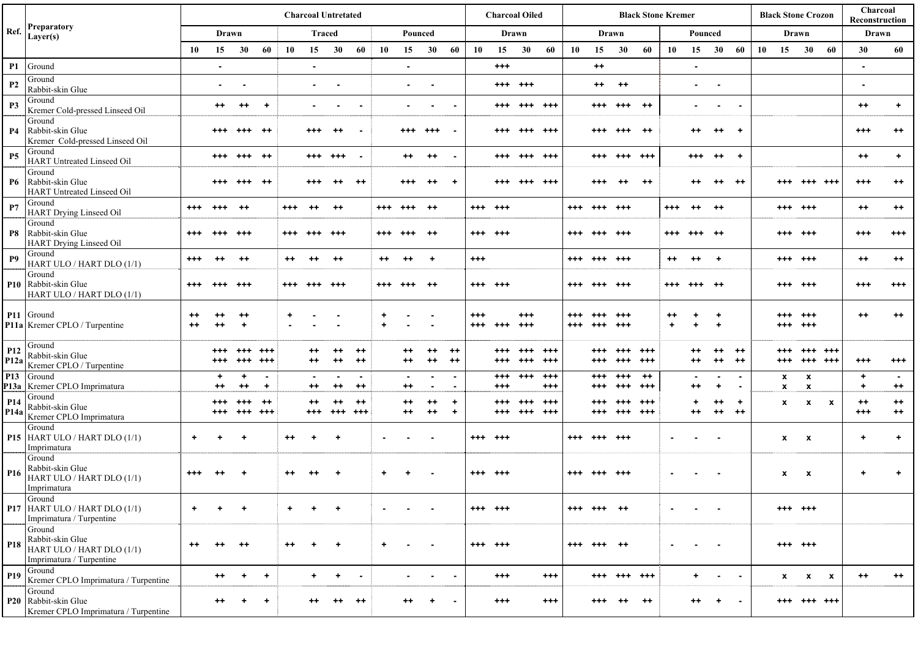| Ref.                    | <b>Preparatory</b><br>Layer(s)                                                      | <b>Charcoal Untretated</b> |                             |                      |                     |                |                |                           |                                  |                        |                       |                                  | <b>Charcoal Oiled</b>            |                     |                      |                      | <b>Black Stone Kremer</b> |            |                      |                      |                 |          |                        |                                   | <b>Black Stone Crozon</b> |    |                      |                                           | Charcoal<br>Reconstruction |                                              |                           |
|-------------------------|-------------------------------------------------------------------------------------|----------------------------|-----------------------------|----------------------|---------------------|----------------|----------------|---------------------------|----------------------------------|------------------------|-----------------------|----------------------------------|----------------------------------|---------------------|----------------------|----------------------|---------------------------|------------|----------------------|----------------------|-----------------|----------|------------------------|-----------------------------------|---------------------------|----|----------------------|-------------------------------------------|----------------------------|----------------------------------------------|---------------------------|
|                         |                                                                                     | Drawn                      |                             |                      |                     | <b>Traced</b>  |                |                           |                                  | Pounced                |                       |                                  |                                  | Drawn               |                      |                      | Drawn                     |            |                      |                      | Pounced         |          |                        |                                   | Drawn                     |    |                      |                                           | Drawn                      |                                              |                           |
|                         |                                                                                     | 10                         | 15                          | 30                   | -60                 | 10             | 15             | 30                        | 60                               | 10                     | 15                    | 30                               | 60                               | 10                  | 15                   | 30                   | 60                        | 10         | 15                   | 30                   | 60              | 10       | 15                     | 30                                | -60                       | 10 | 15                   | 30                                        | - 60                       | 30                                           | 60                        |
| P1                      | Ground                                                                              |                            | $\blacksquare$              |                      |                     |                | $\blacksquare$ |                           |                                  |                        | $\blacksquare$        |                                  |                                  |                     | $^{+++}$             |                      |                           |            | $^{++}$              |                      |                 |          | $\sim$                 |                                   |                           |    |                      |                                           |                            | $\blacksquare$                               |                           |
| P <sub>2</sub>          | Ground<br>Rabbit-skin Glue                                                          |                            | ٠                           | $\blacksquare$       |                     |                | $\sim$         | ۰                         |                                  |                        | $\sim$                | <b>.</b>                         |                                  |                     |                      | $*** + + +$          |                           |            | $++$                 | $++$                 |                 |          | $\sim$ 10 $\pm$        | $\sim$                            |                           |    |                      |                                           |                            | $\sim$                                       |                           |
| P <sub>3</sub>          | Ground<br>Kremer Cold-pressed Linseed Oil                                           |                            | $^{++}$                     | $^{++}$              | $+$                 |                | $\sim$         | $\sim$                    | $\overline{\phantom{a}}$         |                        |                       | $\sim$                           | $\blacksquare$                   |                     |                      | +++ +++ +++          |                           |            |                      | +++ +++ ++           |                 |          |                        | $\sim$                            | $\sim$                    |    |                      |                                           |                            | $^{++}$                                      | $+$                       |
| <b>P4</b>               | Ground<br>Rabbit-skin Glue<br>Kremer Cold-pressed Linseed Oil                       |                            | $^{+++}$                    | $^{+++}$             | ++                  |                | +++            | $^{++}$                   |                                  |                        | $^{+++}$              | $^{+++}$                         | $\sim$                           |                     | +++                  | +++ +++              |                           |            | +++                  | $***$                | $^{++}$         |          | $^{++}$                | $^{++}$                           | $\overline{1}$            |    |                      |                                           |                            | $^{+++}$                                     | $^{++}$                   |
| <b>P5</b>               | Ground<br>HART Untreated Linseed Oil                                                |                            |                             | +++ +++ ++           |                     |                | +++ +++        |                           | $\overline{\phantom{a}}$         |                        | $^{++}$               | $^{++}$                          | $\sim$ $\sim$                    |                     |                      | +++ +++ +++          |                           |            |                      | +++ +++ +++          |                 |          | $^{+++}$               | $^{++}$                           | $_{+}$                    |    |                      |                                           |                            | $^{++}$                                      | $+$                       |
| <b>P6</b>               | Ground<br>Rabbit-skin Glue<br>HART Untreated Linseed Oil                            |                            | $^{+++}$                    | $^{+++}$             | $^{++}$             |                |                |                           | $^{++}$                          |                        | +++                   | $^{++}$                          | +                                |                     |                      | $^{+++}$             | +++                       |            | +++                  |                      | $^{++}$         |          |                        | $^{++}$                           | $^{++}$                   |    |                      | +++ +++                                   |                            | $^{++}$                                      | $^{++}$                   |
| P7                      | Ground<br>HART Drying Linseed Oil                                                   | $^{+++}$                   | $^{+++}$                    | ++                   |                     | $^{+++}$       | -++            |                           |                                  | +++ +++                |                       | $^{++}$                          |                                  | $*** + + +$         |                      |                      |                           | $^{+++}$   | +++ +++              |                      |                 | $^{+++}$ | $^{++}$                | $^{++}$                           |                           |    | +++ +++              |                                           |                            | $^{++}$                                      | $++$                      |
| P8                      | Ground<br>Rabbit-skin Glue<br><b>HART Drying Linseed Oil</b>                        | $^{+++}$                   | $^{+++}$                    | $^{+++}$             |                     | $^{+++}$       |                | -+++                      |                                  | +++                    | +++                   | $^{++}$                          |                                  | $***$ +++           |                      |                      |                           | $^{+++}$   | +++                  | +++                  |                 | $^{+++}$ | +++                    | - + +                             |                           |    | +++ +++              |                                           |                            | $^{++}$                                      | $^{+++}$                  |
| <b>P9</b>               | Ground<br>HART ULO / HART DLO (1/1)                                                 | $^{+++}$                   | $^{++}$                     | $^{++}$              |                     | $^{++}$        | $^{++}$        | $^{++}$                   |                                  | $^{++}$                | $^{++}$               | $+$                              |                                  | $^{+++}$            |                      |                      |                           |            | $***$ +++ +++        |                      |                 | $^{++}$  | $^{++}$                | $+$                               |                           |    | $+++ +$              |                                           |                            | $^{++}$                                      | $^{++}$                   |
|                         | Ground<br>P10 Rabbit-skin Glue<br>HART ULO / HART DLO (1/1)                         | $^{+++}$                   | +++ +++                     |                      |                     | $^{++}$        | +++            | +++                       |                                  | $^{+++}$               | +++                   | -++                              |                                  | $***$ +++           |                      |                      |                           | $^{+++}$   | +++ +++              |                      |                 | $^{+++}$ | +++ ++                 |                                   |                           |    | +++ +++              |                                           |                            | $^{++}$                                      | $^{+++}$                  |
|                         | P11 Ground<br>P11a Kremer CPLO / Turpentine                                         | $^{\tiny{++}}$<br>$++$     | ++<br>$^{++}$               | $^{++}$<br>$\ddot{}$ |                     | ٠              |                |                           |                                  | $\ddot{}$<br>$\ddot{}$ |                       |                                  |                                  | $^{+++}$<br>$^{++}$ | $^{+++}$             | $^{++}$<br>$^{+++}$  |                           | +++<br>+++ | $^{+++}$<br>$^{+++}$ | $^{++}$<br>$^{++}$   |                 | $^{++}$  | $\ddot{}$<br>$\ddot{}$ | $\ddot{}$<br>$\ddot{\phantom{1}}$ |                           |    | +++ +++              | $^{++}$                                   |                            | $^{++}$                                      | $^{++}$                   |
| P <sub>12</sub>         | Ground<br>Rabbit-skin Glue<br>P12a Kremer CPLO / Turpentine                         |                            | $^{+++}$<br>$^{+++}$        | $^{***}$<br>$^{++}$  | $^{+++}$<br>$^{++}$ |                | ++<br>++       | $^{\tiny{++}}$<br>$^{++}$ | $^{++}$<br>$^{++}$               |                        | ++<br>$^{\mathrm{+}}$ | $^{++}$<br>$^{++}$               | ++<br>$^{++}$                    |                     | ***<br>$^{***}$      | $^{+++}$<br>$^{+++}$ | $^{+++}$<br>$^{+++}$      |            | $^{+++}$<br>$^{+++}$ | $^{+++}$<br>$^{+++}$ | +++<br>$^{+++}$ |          | $^{++}$                | $^{++}$<br>$^{++}$                | $^{++}$<br>$^{++}$        |    | $^{***}$<br>$^{+++}$ | +++ +++<br>+++ +++                        |                            | $^{+++}$                                     | $^{+++}$                  |
|                         | P13 Ground<br>P13a   Kremer CPLO Imprimatura                                        |                            | $\ddot{}$<br>$^{\tiny{++}}$ | $\ddot{}$<br>$^{++}$ | $\sim$<br>$\ddot{}$ |                | ++             | $^{\tiny{++}}$            | $\blacksquare$<br>$^{\tiny{++}}$ |                        | $^{++}$               | $\blacksquare$<br>$\blacksquare$ | $\blacksquare$<br>$\blacksquare$ |                     | $^{+++}$<br>$^{+++}$ | $^{+++}$             | $^{+++}$<br>$^{+++}$      |            | $^{+++}$<br>$^{+++}$ | $^{+++}$<br>$^{+++}$ | $++$<br>+++     |          | $^{\mathrm{+}}$        | $\sim$<br>$\ddot{}$               | $\sim$<br>$\sim$          |    | x<br>$\mathbf{x}$    | $\boldsymbol{\mathsf{x}}$<br>$\pmb{\chi}$ |                            | $\ddot{\phantom{1}}$<br>$\ddot{\phantom{1}}$ | $\blacksquare$<br>$^{++}$ |
| P <sub>14</sub><br>P14a | Ground<br>Rabbit-skin Glue<br>Kremer CPLO Imprimatura                               |                            | $^{+++}$<br>$^{+++}$        | ***<br>$^{***}$      | $^{++}$<br>+++      |                | ++<br>+++      | ++<br>+++ +++             | $^{++}$                          |                        | ++<br>$^{++}$         | $^{++}$<br>$^{++}$               | $\ddot{}$<br>$\ddot{}$           |                     | +++<br>$^{***}$      | +++<br>$***$         | +++<br>+++                |            | $^{+++}$<br>$^{+++}$ | $^{+++}$<br>+++ +++  | +++             |          | ÷<br>$^{++}$           | $^{++}$<br>$^{++}$                | $\ddot{}$<br>$^{++}$      |    | x                    | $\boldsymbol{\mathsf{x}}$                 | $\mathbf{x}$               | $^{++}$<br>$^{+++}$                          | $^{++}$<br>$^{++}$        |
|                         | Ground<br>P15 HART ULO / HART DLO (1/1)<br>Imprimatura                              | $\ddot{}$                  |                             | +                    |                     | $^{\tiny{++}}$ |                |                           |                                  |                        |                       |                                  |                                  | $***$ +++           |                      |                      |                           | $^{+++}$   | +++                  | +++                  |                 |          |                        |                                   |                           |    | x                    | $\boldsymbol{\mathsf{x}}$                 |                            | ٠                                            | $\ddot{\phantom{1}}$      |
| P <sub>16</sub>         | Ground<br>Rabbit-skin Glue<br>HART ULO / HART DLO (1/1)<br>Imprimatura              | $^{+++}$                   |                             |                      |                     | $^{++}$        |                |                           |                                  | $\ddot{}$              |                       |                                  |                                  | $*** + +$           |                      |                      |                           | $^{+++}$   | +++                  | $^{+++}$             |                 |          |                        |                                   |                           |    | $\mathbf x$          | $\boldsymbol{\mathsf{x}}$                 |                            | ٠                                            | $\ddot{}$                 |
|                         | Ground<br>P17 HART ULO / HART DLO (1/1)<br>Imprimatura / Turpentine                 | $\ddot{}$                  |                             |                      |                     |                |                |                           |                                  |                        |                       |                                  |                                  | $***$ +++           |                      |                      |                           | $^{+++}$   | ***                  |                      |                 |          |                        |                                   |                           |    | +++ +++              |                                           |                            |                                              |                           |
| P <sub>18</sub>         | Ground<br>Rabbit-skin Glue<br>HART ULO / HART DLO (1/1)<br>Imprimatura / Turpentine | $^{\tiny{++}}$             | ++                          | $^{++}$              |                     | $^{++}$        |                | ÷                         |                                  | $\ddot{}$              |                       |                                  |                                  | $***$ +++           |                      |                      |                           | $^{+++}$   | +++                  | - ++                 |                 |          |                        |                                   |                           |    | +++ +++              |                                           |                            |                                              |                           |
| P <sub>19</sub>         | Ground<br>Kremer CPLO Imprimatura / Turpentine                                      |                            | $^{++}$                     | $+$                  | $+$                 |                | $+$            | $+$                       | $\sim$                           |                        | $\sim$                | $\sim$                           | $\sim$ $-$                       |                     | $^{+++}$             |                      | $^{+++}$                  |            |                      | +++ +++ +++          |                 |          | $+$                    | $\sim$                            | $\sim$                    |    | $\mathbf{x}$         | $\mathbf{x}$                              | $\mathbf{x}$               | $^{++}$                                      | $++$                      |
|                         | Ground<br>P20 Rabbit-skin Glue<br>Kremer CPLO Imprimatura / Turpentine              |                            | ++                          |                      | ٠                   |                |                |                           | $^{++}$                          |                        | ++                    | ٠                                | $\blacksquare$                   |                     | $^{+++}$             |                      | $^{+++}$                  |            | +++                  | $^{++}$              | $^{++}$         |          | ++                     | $\ddot{}$                         | $\sim$                    |    |                      | $***$ +++ +++                             |                            |                                              |                           |